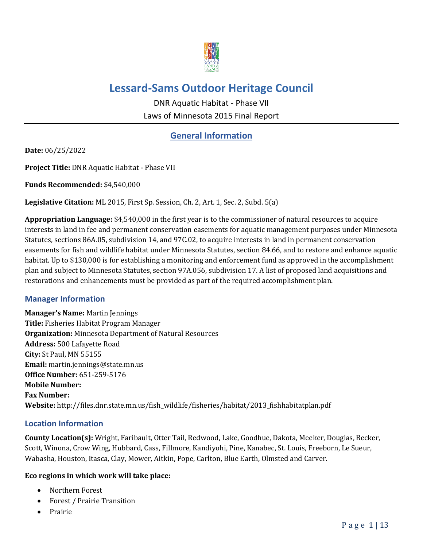

# **Lessard-Sams Outdoor Heritage Council**

DNR Aquatic Habitat - Phase VII Laws of Minnesota 2015 Final Report

## **General Information**

**Date:** 06/25/2022

**Project Title:** DNR Aquatic Habitat - Phase VII

**Funds Recommended:** \$4,540,000

**Legislative Citation:** ML 2015, First Sp. Session, Ch. 2, Art. 1, Sec. 2, Subd. 5(a)

**Appropriation Language:** \$4,540,000 in the first year is to the commissioner of natural resources to acquire interests in land in fee and permanent conservation easements for aquatic management purposes under Minnesota Statutes, sections 86A.05, subdivision 14, and 97C.02, to acquire interests in land in permanent conservation easements for fish and wildlife habitat under Minnesota Statutes, section 84.66, and to restore and enhance aquatic habitat. Up to \$130,000 is for establishing a monitoring and enforcement fund as approved in the accomplishment plan and subject to Minnesota Statutes, section 97A.056, subdivision 17. A list of proposed land acquisitions and restorations and enhancements must be provided as part of the required accomplishment plan.

#### **Manager Information**

**Manager's Name:** Martin Jennings **Title:** Fisheries Habitat Program Manager **Organization:** Minnesota Department of Natural Resources **Address:** 500 Lafayette Road **City:** St Paul, MN 55155 **Email:** martin.jennings@state.mn.us **Office Number:** 651-259-5176 **Mobile Number: Fax Number: Website:** http://files.dnr.state.mn.us/fish\_wildlife/fisheries/habitat/2013\_fishhabitatplan.pdf

#### **Location Information**

**County Location(s):** Wright, Faribault, Otter Tail, Redwood, Lake, Goodhue, Dakota, Meeker, Douglas, Becker, Scott, Winona, Crow Wing, Hubbard, Cass, Fillmore, Kandiyohi, Pine, Kanabec, St. Louis, Freeborn, Le Sueur, Wabasha, Houston, Itasca, Clay, Mower, Aitkin, Pope, Carlton, Blue Earth, Olmsted and Carver.

#### **Eco regions in which work will take place:**

- Northern Forest
- Forest / Prairie Transition
- Prairie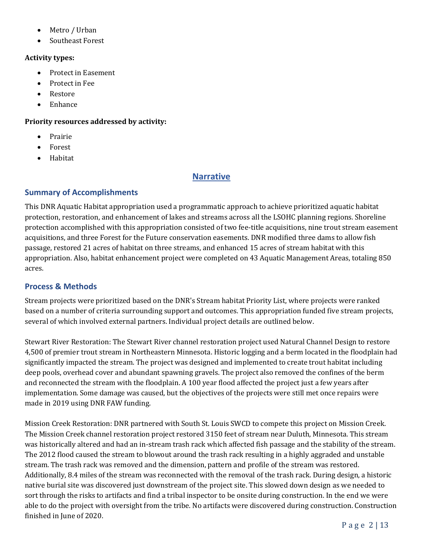- Metro / Urban
- Southeast Forest

#### **Activity types:**

- Protect in Easement
- Protect in Fee
- Restore
- Enhance

#### **Priority resources addressed by activity:**

- Prairie
- Forest
- Habitat

### **Narrative**

#### **Summary of Accomplishments**

This DNR Aquatic Habitat appropriation used a programmatic approach to achieve prioritized aquatic habitat protection, restoration, and enhancement of lakes and streams across all the LSOHC planning regions. Shoreline protection accomplished with this appropriation consisted of two fee-title acquisitions, nine trout stream easement acquisitions, and three Forest for the Future conservation easements. DNR modified three dams to allow fish passage, restored 21 acres of habitat on three streams, and enhanced 15 acres of stream habitat with this appropriation. Also, habitat enhancement project were completed on 43 Aquatic Management Areas, totaling 850 acres.

#### **Process & Methods**

Stream projects were prioritized based on the DNR's Stream habitat Priority List, where projects were ranked based on a number of criteria surrounding support and outcomes. This appropriation funded five stream projects, several of which involved external partners. Individual project details are outlined below.

Stewart River Restoration: The Stewart River channel restoration project used Natural Channel Design to restore 4,500 of premier trout stream in Northeastern Minnesota. Historic logging and a berm located in the floodplain had significantly impacted the stream. The project was designed and implemented to create trout habitat including deep pools, overhead cover and abundant spawning gravels. The project also removed the confines of the berm and reconnected the stream with the floodplain. A 100 year flood affected the project just a few years after implementation. Some damage was caused, but the objectives of the projects were still met once repairs were made in 2019 using DNR FAW funding.

Mission Creek Restoration: DNR partnered with South St. Louis SWCD to compete this project on Mission Creek. The Mission Creek channel restoration project restored 3150 feet of stream near Duluth, Minnesota. This stream was historically altered and had an in-stream trash rack which affected fish passage and the stability of the stream. The 2012 flood caused the stream to blowout around the trash rack resulting in a highly aggraded and unstable stream. The trash rack was removed and the dimension, pattern and profile of the stream was restored. Additionally, 8.4 miles of the stream was reconnected with the removal of the trash rack. During design, a historic native burial site was discovered just downstream of the project site. This slowed down design as we needed to sort through the risks to artifacts and find a tribal inspector to be onsite during construction. In the end we were able to do the project with oversight from the tribe. No artifacts were discovered during construction. Construction finished in June of 2020.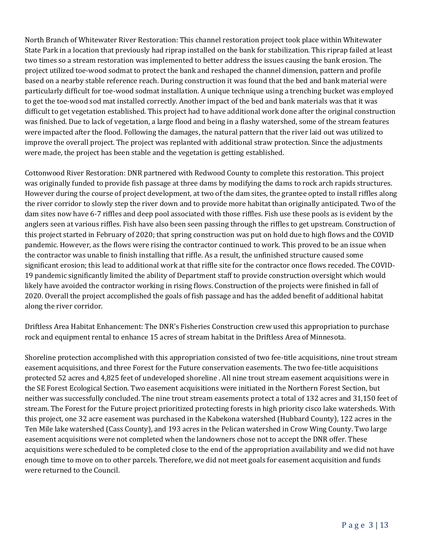North Branch of Whitewater River Restoration: This channel restoration project took place within Whitewater State Park in a location that previously had riprap installed on the bank for stabilization. This riprap failed at least two times so a stream restoration was implemented to better address the issues causing the bank erosion. The project utilized toe-wood sodmat to protect the bank and reshaped the channel dimension, pattern and profile based on a nearby stable reference reach. During construction it was found that the bed and bank material were particularly difficult for toe-wood sodmat installation. A unique technique using a trenching bucket was employed to get the toe-wood sod mat installed correctly. Another impact of the bed and bank materials was that it was difficult to get vegetation established. This project had to have additional work done after the original construction was finished. Due to lack of vegetation, a large flood and being in a flashy watershed, some of the stream features were impacted after the flood. Following the damages, the natural pattern that the river laid out was utilized to improve the overall project. The project was replanted with additional straw protection. Since the adjustments were made, the project has been stable and the vegetation is getting established.

Cottonwood River Restoration: DNR partnered with Redwood County to complete this restoration. This project was originally funded to provide fish passage at three dams by modifying the dams to rock arch rapids structures. However during the course of project development, at two of the dam sites, the grantee opted to install riffles along the river corridor to slowly step the river down and to provide more habitat than originally anticipated. Two of the dam sites now have 6-7 riffles and deep pool associated with those riffles. Fish use these pools as is evident by the anglers seen at various riffles. Fish have also been seen passing through the riffles to get upstream. Construction of this project started in February of 2020; that spring construction was put on hold due to high flows and the COVID pandemic. However, as the flows were rising the contractor continued to work. This proved to be an issue when the contractor was unable to finish installing that riffle. As a result, the unfinished structure caused some significant erosion; this lead to additional work at that riffle site for the contractor once flows receded. The COVID-19 pandemic significantly limited the ability of Department staff to provide construction oversight which would likely have avoided the contractor working in rising flows. Construction of the projects were finished in fall of 2020. Overall the project accomplished the goals of fish passage and has the added benefit of additional habitat along the river corridor.

Driftless Area Habitat Enhancement: The DNR's Fisheries Construction crew used this appropriation to purchase rock and equipment rental to enhance 15 acres of stream habitat in the Driftless Area of Minnesota.

Shoreline protection accomplished with this appropriation consisted of two fee-title acquisitions, nine trout stream easement acquisitions, and three Forest for the Future conservation easements. The two fee-title acquisitions protected 52 acres and 4,825 feet of undeveloped shoreline . All nine trout stream easement acquisitions were in the SE Forest Ecological Section. Two easement acquisitions were initiated in the Northern Forest Section, but neither was successfully concluded. The nine trout stream easements protect a total of 132 acres and 31,150 feet of stream. The Forest for the Future project prioritized protecting forests in high priority cisco lake watersheds. With this project, one 32 acre easement was purchased in the Kabekona watershed (Hubbard County), 122 acres in the Ten Mile lake watershed (Cass County), and 193 acres in the Pelican watershed in Crow Wing County. Two large easement acquisitions were not completed when the landowners chose not to accept the DNR offer. These acquisitions were scheduled to be completed close to the end of the appropriation availability and we did not have enough time to move on to other parcels. Therefore, we did not meet goals for easement acquisition and funds were returned to the Council.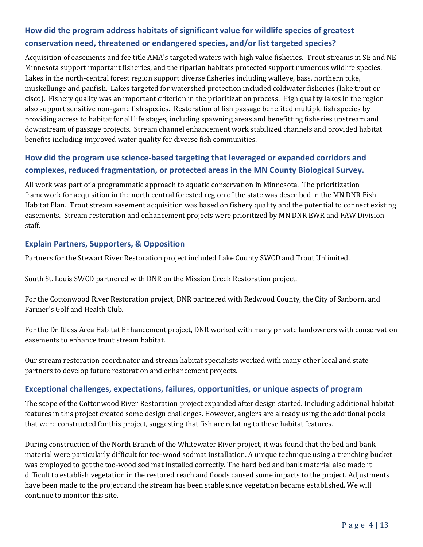## **How did the program address habitats of significant value for wildlife species of greatest conservation need, threatened or endangered species, and/or list targeted species?**

Acquisition of easements and fee title AMA's targeted waters with high value fisheries. Trout streams in SE and NE Minnesota support important fisheries, and the riparian habitats protected support numerous wildlife species. Lakes in the north-central forest region support diverse fisheries including walleye, bass, northern pike, muskellunge and panfish. Lakes targeted for watershed protection included coldwater fisheries (lake trout or cisco). Fishery quality was an important criterion in the prioritization process. High quality lakes in the region also support sensitive non-game fish species. Restoration of fish passage benefited multiple fish species by providing access to habitat for all life stages, including spawning areas and benefitting fisheries upstream and downstream of passage projects. Stream channel enhancement work stabilized channels and provided habitat benefits including improved water quality for diverse fish communities.

## **How did the program use science-based targeting that leveraged or expanded corridors and complexes, reduced fragmentation, or protected areas in the MN County Biological Survey.**

All work was part of a programmatic approach to aquatic conservation in Minnesota. The prioritization framework for acquisition in the north central forested region of the state was described in the MN DNR Fish Habitat Plan. Trout stream easement acquisition was based on fishery quality and the potential to connect existing easements. Stream restoration and enhancement projects were prioritized by MN DNR EWR and FAW Division staff.

### **Explain Partners, Supporters, & Opposition**

Partners for the Stewart River Restoration project included Lake County SWCD and Trout Unlimited.

South St. Louis SWCD partnered with DNR on the Mission Creek Restoration project.

For the Cottonwood River Restoration project, DNR partnered with Redwood County, the City of Sanborn, and Farmer's Golf and Health Club.

For the Driftless Area Habitat Enhancement project, DNR worked with many private landowners with conservation easements to enhance trout stream habitat.

Our stream restoration coordinator and stream habitat specialists worked with many other local and state partners to develop future restoration and enhancement projects.

#### **Exceptional challenges, expectations, failures, opportunities, or unique aspects of program**

The scope of the Cottonwood River Restoration project expanded after design started. Including additional habitat features in this project created some design challenges. However, anglers are already using the additional pools that were constructed for this project, suggesting that fish are relating to these habitat features.

During construction of the North Branch of the Whitewater River project, it was found that the bed and bank material were particularly difficult for toe-wood sodmat installation. A unique technique using a trenching bucket was employed to get the toe-wood sod mat installed correctly. The hard bed and bank material also made it difficult to establish vegetation in the restored reach and floods caused some impacts to the project. Adjustments have been made to the project and the stream has been stable since vegetation became established. We will continue to monitor this site.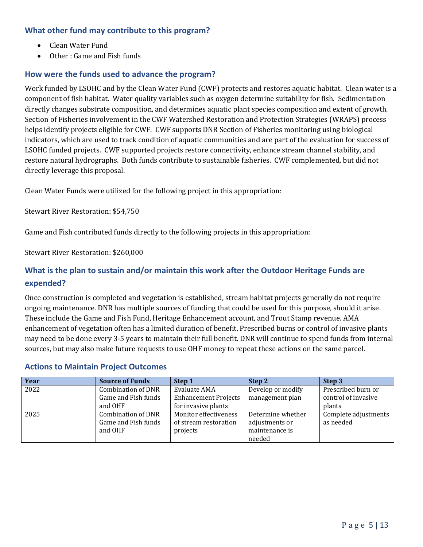### **What other fund may contribute to this program?**

- Clean Water Fund
- Other : Game and Fish funds

#### **How were the funds used to advance the program?**

Work funded by LSOHC and by the Clean Water Fund (CWF) protects and restores aquatic habitat. Clean water is a component of fish habitat. Water quality variables such as oxygen determine suitability for fish. Sedimentation directly changes substrate composition, and determines aquatic plant species composition and extent of growth. Section of Fisheries involvement in the CWF Watershed Restoration and Protection Strategies (WRAPS) process helps identify projects eligible for CWF. CWF supports DNR Section of Fisheries monitoring using biological indicators, which are used to track condition of aquatic communities and are part of the evaluation for success of LSOHC funded projects. CWF supported projects restore connectivity, enhance stream channel stability, and restore natural hydrographs. Both funds contribute to sustainable fisheries. CWF complemented, but did not directly leverage this proposal.

Clean Water Funds were utilized for the following project in this appropriation:

Stewart River Restoration: \$54,750

Game and Fish contributed funds directly to the following projects in this appropriation:

Stewart River Restoration: \$260,000

## **What is the plan to sustain and/or maintain this work after the Outdoor Heritage Funds are expended?**

Once construction is completed and vegetation is established, stream habitat projects generally do not require ongoing maintenance. DNR has multiple sources of funding that could be used for this purpose, should it arise. These include the Game and Fish Fund, Heritage Enhancement account, and Trout Stamp revenue. AMA enhancement of vegetation often has a limited duration of benefit. Prescribed burns or control of invasive plants may need to be done every 3-5 years to maintain their full benefit. DNR will continue to spend funds from internal sources, but may also make future requests to use OHF money to repeat these actions on the same parcel.

| Year | <b>Source of Funds</b> | Step 1                      | Step 2            | Step 3               |
|------|------------------------|-----------------------------|-------------------|----------------------|
| 2022 | Combination of DNR     | Evaluate AMA                | Develop or modify | Prescribed burn or   |
|      | Game and Fish funds    | <b>Enhancement Projects</b> | management plan   | control of invasive  |
|      | and OHF                | for invasive plants         |                   | plants               |
| 2025 | Combination of DNR     | Monitor effectiveness       | Determine whether | Complete adjustments |
|      | Game and Fish funds    | of stream restoration       | adjustments or    | as needed            |
|      | and OHF                | projects                    | maintenance is    |                      |
|      |                        |                             | needed            |                      |

#### **Actions to Maintain Project Outcomes**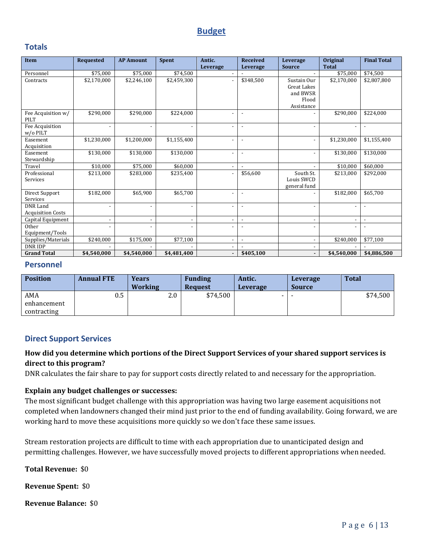### **Budget**

#### **Totals**

| Item                       | <b>Requested</b>         | <b>AP Amount</b>         | Spent                    | Antic.                   | <b>Received</b>          | Leverage                 | <b>Original</b>          | <b>Final Total</b>       |
|----------------------------|--------------------------|--------------------------|--------------------------|--------------------------|--------------------------|--------------------------|--------------------------|--------------------------|
|                            |                          |                          |                          | Leverage                 | Leverage                 | <b>Source</b>            | <b>Total</b>             |                          |
| Personnel                  | \$75,000                 | \$75,000                 | \$74,500                 | $\overline{a}$           |                          |                          | \$75,000                 | \$74,500                 |
| Contracts                  | \$2,170,000              | \$2,246,100              | \$2,459,300              | $\overline{\phantom{a}}$ | \$348.500                | Sustain Our              | \$2,170,000              | \$2,807,800              |
|                            |                          |                          |                          |                          |                          | <b>Great Lakes</b>       |                          |                          |
|                            |                          |                          |                          |                          |                          | and BWSR                 |                          |                          |
|                            |                          |                          |                          |                          |                          | Flood                    |                          |                          |
|                            |                          |                          |                          |                          |                          | Assistance               |                          |                          |
| Fee Acquisition w/<br>PILT | \$290,000                | \$290,000                | \$224,000                |                          | $\overline{\phantom{a}}$ |                          | \$290,000                | \$224,000                |
| Fee Acquisition            | $\overline{a}$           | $\overline{\phantom{a}}$ | $\overline{\phantom{a}}$ | $\overline{a}$           |                          | $\overline{\phantom{a}}$ | $\overline{\phantom{a}}$ | $\overline{\phantom{a}}$ |
| w/o PILT                   |                          |                          |                          |                          |                          |                          |                          |                          |
| Easement                   | \$1,230,000              | \$1,200,000              | \$1,155,400              | $\overline{\phantom{a}}$ | $\overline{\phantom{a}}$ | $\overline{\phantom{a}}$ | \$1,230,000              | \$1,155,400              |
| Acquisition                |                          |                          |                          |                          |                          |                          |                          |                          |
| Easement                   | \$130,000                | \$130,000                | \$130,000                | $\overline{\phantom{a}}$ |                          | $\overline{\phantom{a}}$ | \$130,000                | \$130,000                |
| Stewardship                |                          |                          |                          |                          |                          |                          |                          |                          |
| Travel                     | \$10,000                 | \$75,000                 | \$60,000                 | $\overline{a}$           |                          |                          | \$10,000                 | \$60,000                 |
| Professional               | \$213,000                | \$283,000                | \$235,400                | $\overline{a}$           | \$56,600                 | South St.                | \$213,000                | \$292,000                |
| Services                   |                          |                          |                          |                          |                          | Louis SWCD               |                          |                          |
|                            |                          |                          |                          |                          |                          | general fund             |                          |                          |
| Direct Support             | \$182,000                | \$65,900                 | \$65,700                 | $\overline{a}$           |                          |                          | \$182,000                | \$65,700                 |
| Services                   |                          |                          |                          |                          |                          |                          |                          |                          |
| <b>DNR</b> Land            | $\overline{a}$           | $\overline{a}$           | $\overline{\phantom{a}}$ | $\overline{\phantom{a}}$ | $\overline{a}$           | $\overline{\phantom{a}}$ |                          | $\overline{\phantom{a}}$ |
| <b>Acquisition Costs</b>   |                          |                          |                          |                          |                          |                          |                          |                          |
| Capital Equipment          | $\overline{\phantom{a}}$ | $\overline{\phantom{a}}$ | $\overline{\phantom{a}}$ | $\overline{\phantom{a}}$ | $\overline{\phantom{a}}$ | $\overline{\phantom{a}}$ | $\overline{\phantom{a}}$ | $\overline{\phantom{a}}$ |
| Other                      |                          |                          |                          |                          |                          |                          |                          |                          |
| Equipment/Tools            |                          |                          |                          |                          |                          |                          |                          |                          |
| Supplies/Materials         | \$240,000                | \$175,000                | \$77,100                 | $\overline{a}$           |                          | $\overline{\phantom{a}}$ | \$240,000                | \$77,100                 |
| <b>DNRIDP</b>              |                          |                          |                          |                          |                          |                          |                          |                          |
| <b>Grand Total</b>         | \$4,540,000              | \$4,540,000              | \$4,481,400              | $\overline{\phantom{a}}$ | \$405,100                | $\blacksquare$           | \$4,540,000              | \$4,886,500              |

#### **Personnel**

| <b>Position</b> | <b>Annual FTE</b> | Years<br><b>Working</b> | <b>Funding</b><br><b>Request</b> | Antic.<br><b>Leverage</b> | Leverage<br><b>Source</b> | <b>Total</b> |
|-----------------|-------------------|-------------------------|----------------------------------|---------------------------|---------------------------|--------------|
| AMA             | $0.5\,$           | 2.0                     | \$74,500                         | . .                       |                           | $$74,500$    |
| enhancement     |                   |                         |                                  |                           |                           |              |
| contracting     |                   |                         |                                  |                           |                           |              |

#### **Direct Support Services**

#### **How did you determine which portions of the Direct Support Services of your shared support services is direct to this program?**

DNR calculates the fair share to pay for support costs directly related to and necessary for the appropriation.

#### **Explain any budget challenges or successes:**

The most significant budget challenge with this appropriation was having two large easement acquisitions not completed when landowners changed their mind just prior to the end of funding availability. Going forward, we are working hard to move these acquisitions more quickly so we don't face these same issues.

Stream restoration projects are difficult to time with each appropriation due to unanticipated design and permitting challenges. However, we have successfully moved projects to different appropriations when needed.

**Total Revenue:** \$0

**Revenue Spent:** \$0

**Revenue Balance:** \$0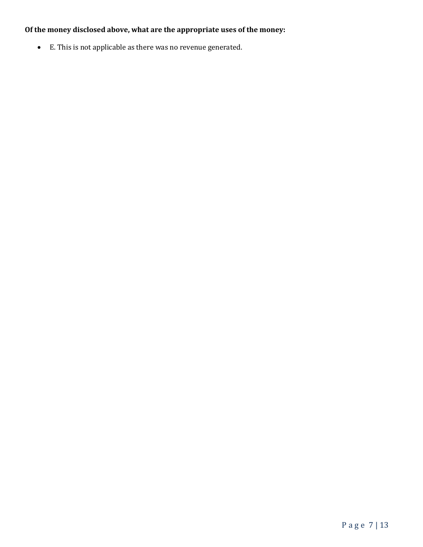## **Of the money disclosed above, what are the appropriate uses of the money:**

• E. This is not applicable as there was no revenue generated.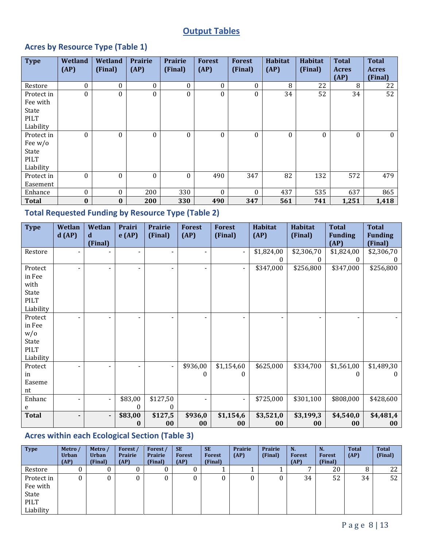## **Output Tables**

## **Acres by Resource Type (Table 1)**

| <b>Type</b>                                           | Wetland<br>(AP) | Wetland<br>(Final) | <b>Prairie</b><br>(AP) | <b>Prairie</b><br>(Final) | <b>Forest</b><br>(AP) | <b>Forest</b><br>(Final) | Habitat<br>(AP) | <b>Habitat</b><br>(Final) | <b>Total</b><br><b>Acres</b><br>(AP) | <b>Total</b><br><b>Acres</b><br>(Final) |
|-------------------------------------------------------|-----------------|--------------------|------------------------|---------------------------|-----------------------|--------------------------|-----------------|---------------------------|--------------------------------------|-----------------------------------------|
| Restore                                               | 0               | $\boldsymbol{0}$   | 0                      | 0                         | $\Omega$              | $\theta$                 | 8               | 22                        | 8                                    | 22                                      |
| Protect in<br>Fee with<br>State<br><b>PILT</b>        | $\mathbf{0}$    | 0                  | $\boldsymbol{0}$       | 0                         | $\theta$              | $\boldsymbol{0}$         | 34              | 52                        | 34                                   | 52                                      |
| Liability                                             |                 |                    |                        |                           |                       |                          |                 |                           |                                      |                                         |
| Protect in<br>Fee $w/o$<br>State<br>PILT<br>Liability | 0               | 0                  | $\boldsymbol{0}$       | 0                         | $\bf{0}$              | $\boldsymbol{0}$         | $\Omega$        | $\bf{0}$                  | $\boldsymbol{0}$                     | $\mathbf{0}$                            |
| Protect in<br>Easement                                | $\theta$        | $\theta$           | $\boldsymbol{0}$       | $\boldsymbol{0}$          | 490                   | 347                      | 82              | 132                       | 572                                  | 479                                     |
| Enhance                                               | $\mathbf{0}$    | $\theta$           | 200                    | 330                       | $\Omega$              | $\Omega$                 | 437             | 535                       | 637                                  | 865                                     |
| <b>Total</b>                                          | $\bf{0}$        | $\bf{0}$           | 200                    | 330                       | 490                   | 347                      | 561             | 741                       | 1,251                                | 1,418                                   |

## **Total Requested Funding by Resource Type (Table 2)**

| <b>Type</b>  | Wetlan<br>d(AP)          | Wetlan<br>d<br>(Final)   | Prairi<br>e(AP) | Prairie<br>(Final)       | <b>Forest</b><br>(AP)    | <b>Forest</b><br>(Final) | <b>Habitat</b><br>(AP) | Habitat<br>(Final) | <b>Total</b><br><b>Funding</b><br>(AP) | <b>Total</b><br><b>Funding</b><br>(Final) |
|--------------|--------------------------|--------------------------|-----------------|--------------------------|--------------------------|--------------------------|------------------------|--------------------|----------------------------------------|-------------------------------------------|
| Restore      | $\overline{\phantom{a}}$ |                          |                 |                          | Ξ.                       |                          | \$1,824,00             | \$2,306,70         | \$1,824,00                             | \$2,306,70                                |
|              |                          |                          |                 |                          |                          |                          |                        | 0                  | $\bf{0}$                               |                                           |
| Protect      |                          |                          |                 |                          | $\overline{\phantom{a}}$ |                          | \$347,000              | \$256,800          | \$347,000                              | \$256,800                                 |
| in Fee       |                          |                          |                 |                          |                          |                          |                        |                    |                                        |                                           |
| with         |                          |                          |                 |                          |                          |                          |                        |                    |                                        |                                           |
| State        |                          |                          |                 |                          |                          |                          |                        |                    |                                        |                                           |
| PILT         |                          |                          |                 |                          |                          |                          |                        |                    |                                        |                                           |
| Liability    |                          |                          |                 |                          |                          |                          |                        |                    |                                        |                                           |
| Protect      | $\blacksquare$           | $\overline{\phantom{a}}$ |                 |                          | $\overline{\phantom{a}}$ |                          |                        |                    |                                        |                                           |
| in Fee       |                          |                          |                 |                          |                          |                          |                        |                    |                                        |                                           |
| W/0          |                          |                          |                 |                          |                          |                          |                        |                    |                                        |                                           |
| State        |                          |                          |                 |                          |                          |                          |                        |                    |                                        |                                           |
| <b>PILT</b>  |                          |                          |                 |                          |                          |                          |                        |                    |                                        |                                           |
| Liability    |                          |                          |                 |                          |                          |                          |                        |                    |                                        |                                           |
| Protect      | $\blacksquare$           | $\blacksquare$           |                 | $\overline{\phantom{a}}$ | \$936,00                 | \$1,154,60               | \$625,000              | \$334,700          | \$1,561,00                             | \$1,489,30                                |
| in           |                          |                          |                 |                          | 0                        | 0                        |                        |                    | $\bf{0}$                               | O                                         |
| Easeme       |                          |                          |                 |                          |                          |                          |                        |                    |                                        |                                           |
| nt           |                          |                          |                 |                          |                          |                          |                        |                    |                                        |                                           |
| Enhanc       | $\blacksquare$           | $\blacksquare$           | \$83,00         | \$127,50                 | $\overline{\phantom{a}}$ | $\overline{\phantom{a}}$ | \$725,000              | \$301,100          | \$808,000                              | \$428,600                                 |
| e            |                          |                          | 0               | 0                        |                          |                          |                        |                    |                                        |                                           |
| <b>Total</b> |                          | $\blacksquare$           | \$83,00         | \$127,5                  | \$936,0                  | \$1,154,6                | \$3,521,0              | \$3,199,3          | \$4,540,0                              | \$4,481,4                                 |
|              |                          |                          | 0               | 00                       | 00                       | 00                       | 00                     | $00\,$             | 00                                     | 00                                        |

## **Acres within each Ecological Section (Table 3)**

| <b>Type</b> | Metro /<br>Urban<br>(AP) | Metro /<br><b>Urban</b><br>(Final) | Forest /<br>Prairie<br>(AP) | Forest<br>Prairie<br>(Final) | <b>SE</b><br><b>Forest</b><br>(AP) | <b>SE</b><br>Forest<br>(Final) | Prairie<br>(AP) | Prairie<br>(Final) | N.<br><b>Forest</b><br>(AP) | N.<br><b>Forest</b><br>(Final) | <b>Total</b><br>(AP) | <b>Total</b><br>(Final) |
|-------------|--------------------------|------------------------------------|-----------------------------|------------------------------|------------------------------------|--------------------------------|-----------------|--------------------|-----------------------------|--------------------------------|----------------------|-------------------------|
| Restore     |                          |                                    |                             | υ                            | 0                                  |                                |                 |                    |                             | 20                             | 8                    | 22                      |
| Protect in  |                          |                                    |                             | U                            | 0                                  |                                |                 |                    | 34                          | 52                             | 34                   | 52                      |
| Fee with    |                          |                                    |                             |                              |                                    |                                |                 |                    |                             |                                |                      |                         |
| State       |                          |                                    |                             |                              |                                    |                                |                 |                    |                             |                                |                      |                         |
| PILT        |                          |                                    |                             |                              |                                    |                                |                 |                    |                             |                                |                      |                         |
| Liability   |                          |                                    |                             |                              |                                    |                                |                 |                    |                             |                                |                      |                         |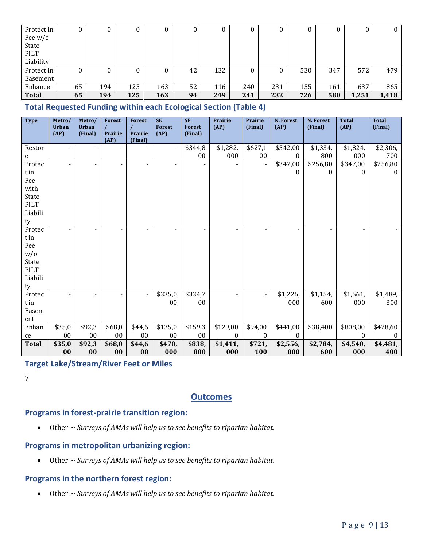| Protect in   |    |     | U   | υ   | υ  |     | U   | υ   |     |     | 0     | $\bf{0}$ |
|--------------|----|-----|-----|-----|----|-----|-----|-----|-----|-----|-------|----------|
| Fee $w/o$    |    |     |     |     |    |     |     |     |     |     |       |          |
| State        |    |     |     |     |    |     |     |     |     |     |       |          |
| PILT         |    |     |     |     |    |     |     |     |     |     |       |          |
| Liability    |    |     |     |     |    |     |     |     |     |     |       |          |
| Protect in   |    |     |     | 0   | 42 | 132 | 0   | 0   | 530 | 347 | 572   | 479      |
| Easement     |    |     |     |     |    |     |     |     |     |     |       |          |
| Enhance      | 65 | 194 | 125 | 163 | 52 | 116 | 240 | 231 | 155 | 161 | 637   | 865      |
| <b>Total</b> | 65 | 194 | 125 | 163 | 94 | 249 | 241 | 232 | 726 | 580 | 1,251 | 1,418    |

**Total Requested Funding within each Ecological Section (Table 4)** 

| <b>Type</b>          | Metro/<br><b>Urban</b><br>(AP) | Metro/<br><b>Urban</b><br>(Final) | <b>Forest</b><br>Prairie<br>(AP) | <b>Forest</b><br>Prairie<br>(Final) | <b>SE</b><br><b>Forest</b><br>(AP) | <b>SE</b><br><b>Forest</b><br>(Final) | Prairie<br>(AP)          | Prairie<br>(Final) | N. Forest<br>(AP) | N. Forest<br>(Final) | <b>Total</b><br>(AP) | <b>Total</b><br>(Final) |
|----------------------|--------------------------------|-----------------------------------|----------------------------------|-------------------------------------|------------------------------------|---------------------------------------|--------------------------|--------------------|-------------------|----------------------|----------------------|-------------------------|
| Restor               |                                |                                   |                                  |                                     | $\blacksquare$                     | \$344,8                               | \$1,282,                 | \$627,1            | \$542,00          | \$1,334,             | \$1,824,             | \$2,306,                |
| e                    |                                |                                   |                                  |                                     |                                    | 00                                    | 000                      | 00                 | $\mathbf{0}$      | 800                  | 000                  | 700                     |
| Protec               |                                |                                   |                                  |                                     | $\blacksquare$                     |                                       |                          | $\blacksquare$     | \$347,00          | \$256,80             | \$347,00             | \$256,80                |
| t in                 |                                |                                   |                                  |                                     |                                    |                                       |                          |                    | $\bf{0}$          | $\theta$             | $\boldsymbol{0}$     | $\bf{0}$                |
| Fee                  |                                |                                   |                                  |                                     |                                    |                                       |                          |                    |                   |                      |                      |                         |
| with                 |                                |                                   |                                  |                                     |                                    |                                       |                          |                    |                   |                      |                      |                         |
| State                |                                |                                   |                                  |                                     |                                    |                                       |                          |                    |                   |                      |                      |                         |
| PILT                 |                                |                                   |                                  |                                     |                                    |                                       |                          |                    |                   |                      |                      |                         |
| Liabili              |                                |                                   |                                  |                                     |                                    |                                       |                          |                    |                   |                      |                      |                         |
| ty                   |                                |                                   |                                  |                                     |                                    |                                       |                          |                    |                   |                      |                      |                         |
| Protec               |                                |                                   |                                  |                                     |                                    |                                       |                          |                    |                   |                      |                      |                         |
| t in                 |                                |                                   |                                  |                                     |                                    |                                       |                          |                    |                   |                      |                      |                         |
| Fee                  |                                |                                   |                                  |                                     |                                    |                                       |                          |                    |                   |                      |                      |                         |
| W/0                  |                                |                                   |                                  |                                     |                                    |                                       |                          |                    |                   |                      |                      |                         |
| State<br><b>PILT</b> |                                |                                   |                                  |                                     |                                    |                                       |                          |                    |                   |                      |                      |                         |
| Liabili              |                                |                                   |                                  |                                     |                                    |                                       |                          |                    |                   |                      |                      |                         |
| ty                   |                                |                                   |                                  |                                     |                                    |                                       |                          |                    |                   |                      |                      |                         |
| Protec               |                                |                                   |                                  |                                     | \$335,0                            | \$334,7                               | $\overline{\phantom{0}}$ | $\blacksquare$     | \$1,226,          | \$1,154,             | \$1,561,             | \$1,489,                |
| t in                 |                                |                                   |                                  |                                     | 00                                 | 00                                    |                          |                    | 000               | 600                  | 000                  | 300                     |
| Easem                |                                |                                   |                                  |                                     |                                    |                                       |                          |                    |                   |                      |                      |                         |
| ent                  |                                |                                   |                                  |                                     |                                    |                                       |                          |                    |                   |                      |                      |                         |
| Enhan                | \$35,0                         | \$92,3                            | \$68,0                           | \$44,6                              | \$135,0                            | \$159,3                               | \$129,00                 | \$94,00            | \$441,00          | \$38,400             | \$808,00             | \$428,60                |
| ce                   | $00\,$                         | $00\,$                            | $00\,$                           | $00\,$                              | $00\,$                             | 00                                    | $\theta$                 | $\mathbf{0}$       | $\theta$          |                      | $\Omega$             | $\theta$                |
| <b>Total</b>         | \$35,0                         | \$92,3                            | \$68,0                           | \$44,6                              | \$470,                             | \$838,                                | \$1,411,                 | \$721,             | \$2,556,          | \$2,784,             | \$4,540,             | \$4,481,                |
|                      | 00 <sup>1</sup>                | 00 <sup>1</sup>                   | 0 <sub>0</sub>                   | 00 <sup>1</sup>                     | 000                                | 800                                   | 000 <sub>1</sub>         | 100                | $000-1$           | 600 <sub>1</sub>     | 000                  | 400                     |

### **Target Lake/Stream/River Feet or Miles**

 $\overline{7}$ 

### **Outcomes**

#### Programs in forest-prairie transition region:

Other  $\sim$  Surveys of AMAs will help us to see benefits to riparian habitat.  $\bullet$ 

### Programs in metropolitan urbanizing region:

Other  $\sim$  Surveys of AMAs will help us to see benefits to riparian habitat.  $\bullet$ 

#### Programs in the northern forest region:

Other  $\sim$  Surveys of AMAs will help us to see benefits to riparian habitat.  $\bullet$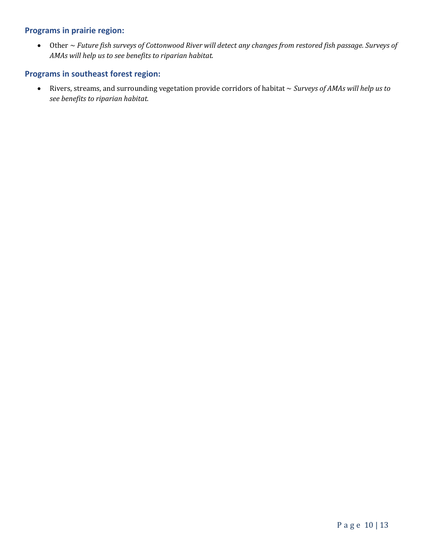#### **Programs in prairie region:**

• Other ~ *Future fish surveys of Cottonwood River will detect any changes from restored fish passage. Surveys of AMAs will help us to see benefits to riparian habitat.*

### **Programs in southeast forest region:**

• Rivers, streams, and surrounding vegetation provide corridors of habitat ~ *Surveys of AMAs will help us to see benefits to riparian habitat.*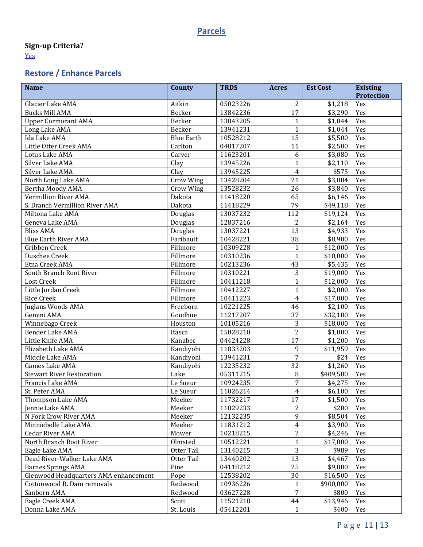## **Parcels**

## **Sign-up Criteria?**

[Yes](https://lsohcprojectmgmt.leg.mn/media/lsohc/final/signup_criteria/1403717978-Aquatic_Habitat_Protection_Cr.pdf)

# **Restore / Enhance Parcels**

| <b>Name</b>                           | County            | <b>TRDS</b> | <b>Acres</b>    | <b>Est Cost</b> | <b>Existing</b><br><b>Protection</b> |
|---------------------------------------|-------------------|-------------|-----------------|-----------------|--------------------------------------|
| Glacier Lake AMA                      | Aitkin            | 05023226    | 2               | \$1,218         | Yes                                  |
| <b>Bucks Mill AMA</b>                 | Becker            | 13842236    | 17              | \$3,290         | Yes                                  |
| <b>Upper Cormorant AMA</b>            | Becker            | 13843205    | $\mathbf{1}$    | \$1,044         | Yes                                  |
| Long Lake AMA                         | Becker            | 13941231    | $\mathbf{1}$    | \$1,044         | Yes                                  |
| Ida Lake AMA                          | <b>Blue Earth</b> | 10528212    | 15              | \$5,500         | Yes                                  |
| Little Otter Creek AMA                | Carlton           | 04817207    | 11              | \$2,500         | Yes                                  |
| Lotus Lake AMA                        | Carver            | 11623201    | 6               | \$3,080         | Yes                                  |
| Silver Lake AMA                       | Clay              | 13945226    | $\mathbf{1}$    | \$2,110         | Yes                                  |
| Silver Lake AMA                       | Clay              | 13945225    | $\overline{4}$  | \$575           | Yes                                  |
| North Long Lake AMA                   | Crow Wing         | 13428204    | $\overline{21}$ | \$3,804         | Yes                                  |
| Bertha Moody AMA                      | Crow Wing         | 13528232    | 26              | \$3,840         | Yes                                  |
| Vermillion River AMA                  | Dakota            | 11418220    | 65              | \$6,146         | Yes                                  |
| S. Branch Vermillion River AMA        | Dakota            | 11418229    | 79              | \$49,118        | Yes                                  |
| Miltona Lake AMA                      | Douglas           | 13037232    | 112             | \$19,124        | Yes                                  |
| Geneva Lake AMA                       | Douglas           | 12837216    | $\overline{2}$  | \$2,164         | Yes                                  |
| <b>Bliss AMA</b>                      | Douglas           | 13037221    | 13              | \$4,933         | Yes                                  |
| <b>Blue Earth River AMA</b>           | Faribault         |             | 38              |                 |                                      |
|                                       | Fillmore          | 10428221    |                 | \$8,900         | Yes                                  |
| Gribben Creek                         |                   | 10309228    | $\mathbf{1}$    | \$12,000        | Yes                                  |
| Duschee Creek                         | Fillmore          | 10310236    | $\mathbf{1}$    | \$10,000        | Yes                                  |
| Etna Creek AMA                        | Fillmore          | 10213236    | 43              | \$5,435         | Yes                                  |
| South Branch Root River               | Fillmore          | 10310221    | 3               | \$19,000        | Yes                                  |
| Lost Creek                            | Fillmore          | 10411218    | $\mathbf{1}$    | \$12,000        | Yes                                  |
| Little Jordan Creek                   | Fillmore          | 10412227    | $\mathbf{1}$    | \$2,000         | Yes                                  |
| Rice Creek                            | Fillmore          | 10411223    | $\overline{4}$  | \$17,000        | Yes                                  |
| Juglans Woods AMA                     | Freeborn          | 10221225    | 46              | \$2,100         | Yes                                  |
| Gemini AMA                            | Goodhue           | 11217207    | 37              | \$32,100        | Yes                                  |
| Winnebago Creek                       | Houston           | 10105216    | 3               | \$18,000        | Yes                                  |
| Bender Lake AMA                       | Itasca            | 15028210    | $\overline{2}$  | \$1,000         | Yes                                  |
| Little Knife AMA                      | Kanabec           | 04424228    | 17              | \$1,200         | Yes                                  |
| Elizabeth Lake AMA                    | Kandiyohi         | 11833203    | 9               | \$11,959        | Yes                                  |
| Middle Lake AMA                       | Kandiyohi         | 13941231    | $\overline{7}$  | \$24            | Yes                                  |
| Games Lake AMA                        | Kandiyohi         | 12235232    | 32              | \$1,260         | Yes                                  |
| <b>Stewart River Restoration</b>      | Lake              | 05311215    | 8               | \$409,500       | Yes                                  |
| Francis Lake AMA                      | Le Sueur          | 10924235    | $\overline{7}$  | \$4,275         | Yes                                  |
| St. Peter AMA                         | Le Sueur          | 11026214    | 4               | \$6,100         | Yes                                  |
| Thompson Lake AMA                     | Meeker            | 11732217    | 17              | \$1,500         | Yes                                  |
| Jennie Lake AMA                       | Meeker            | 11829233    | 2               | \$200           | Yes                                  |
| N Fork Crow River AMA                 | Meeker            | 12132235    | 9               | \$8,504         | Yes                                  |
| Minniebelle Lake AMA                  | Meeker            | 11831212    | $\overline{4}$  | \$3,900         | Yes                                  |
| <b>Cedar River AMA</b>                | Mower             | 10218215    | $\overline{2}$  | \$4,246         | Yes                                  |
| North Branch Root River               | Olmsted           | 10512221    | $\mathbf{1}$    | \$17,000        | Yes                                  |
| Eagle Lake AMA                        | Otter Tail        | 13140215    | 3               | \$989           | Yes                                  |
| Dead River-Walker Lake AMA            | Otter Tail        | 13440202    | 13              | \$4,467         | Yes                                  |
| <b>Barnes Springs AMA</b>             | Pine              | 04118212    | 25              | \$9,000         | Yes                                  |
| Glenwood Headquarters AMA enhancement | Pope              | 12538202    | 30              | \$16,500        | Yes                                  |
| Cottonwood R. Dam removals            | Redwood           | 10936226    | 1               | \$900,000       | Yes                                  |
| Sanborn AMA                           | Redwood           | 03627228    | $\overline{7}$  | \$800           | Yes                                  |
| Eagle Creek AMA                       | Scott             | 11521218    | 44              | \$13,946        | Yes                                  |
| Donna Lake AMA                        | St. Louis         | 05412201    | $\mathbf{1}$    | \$400           | Yes                                  |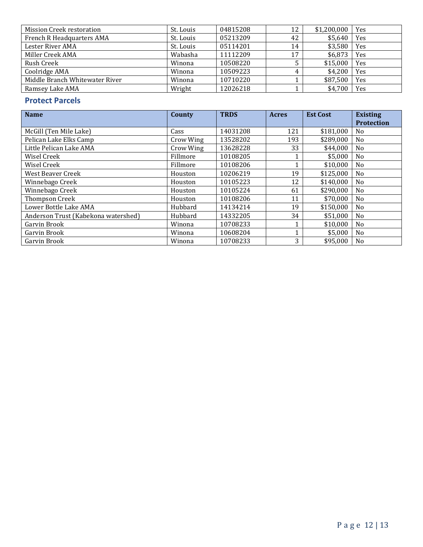| <b>Mission Creek restoration</b> | St. Louis | 04815208 | 12 | $$1,200,000$   Yes |     |
|----------------------------------|-----------|----------|----|--------------------|-----|
| <b>French R Headquarters AMA</b> | St. Louis | 05213209 | 42 | \$5,640            | Yes |
| Lester River AMA                 | St. Louis | 05114201 | 14 | \$3,580            | Yes |
| Miller Creek AMA                 | Wabasha   | 11112209 | 17 | \$6,873            | Yes |
| Rush Creek                       | Winona    | 10508220 |    | \$15,000           | Yes |
| Coolridge AMA                    | Winona    | 10509223 |    | \$4,200            | Yes |
| Middle Branch Whitewater River   | Winona    | 10710220 |    | \$87,500           | Yes |
| Ramsey Lake AMA                  | Wright    | 12026218 |    | \$4,700            | Yes |

## **Protect Parcels**

| <b>Name</b>                         | County    | <b>TRDS</b> | <b>Acres</b> | <b>Est Cost</b> | <b>Existing</b>   |
|-------------------------------------|-----------|-------------|--------------|-----------------|-------------------|
|                                     |           |             |              |                 | <b>Protection</b> |
| McGill (Ten Mile Lake)              | Cass      | 14031208    | 121          | \$181,000       | N <sub>0</sub>    |
| Pelican Lake Elks Camp              | Crow Wing | 13528202    | 193          | \$289,000       | N <sub>o</sub>    |
| Little Pelican Lake AMA             | Crow Wing | 13628228    | 33           | \$44,000        | N <sub>0</sub>    |
| Wisel Creek                         | Fillmore  | 10108205    |              | \$5,000         | N <sub>o</sub>    |
| Wisel Creek                         | Fillmore  | 10108206    |              | \$10,000        | N <sub>0</sub>    |
| West Beaver Creek                   | Houston   | 10206219    | 19           | \$125,000       | N <sub>o</sub>    |
| Winnebago Creek                     | Houston   | 10105223    | 12           | \$140,000       | No                |
| Winnebago Creek                     | Houston   | 10105224    | 61           | \$290,000       | N <sub>o</sub>    |
| Thompson Creek                      | Houston   | 10108206    | 11           | \$70,000        | N <sub>0</sub>    |
| Lower Bottle Lake AMA               | Hubbard   | 14134214    | 19           | \$150,000       | N <sub>0</sub>    |
| Anderson Trust (Kabekona watershed) | Hubbard   | 14332205    | 34           | \$51,000        | N <sub>o</sub>    |
| Garvin Brook                        | Winona    | 10708233    | $\mathbf{1}$ | \$10,000        | N <sub>0</sub>    |
| Garvin Brook                        | Winona    | 10608204    |              | \$5,000         | N <sub>o</sub>    |
| Garvin Brook                        | Winona    | 10708233    | 3            | \$95,000        | N <sub>0</sub>    |